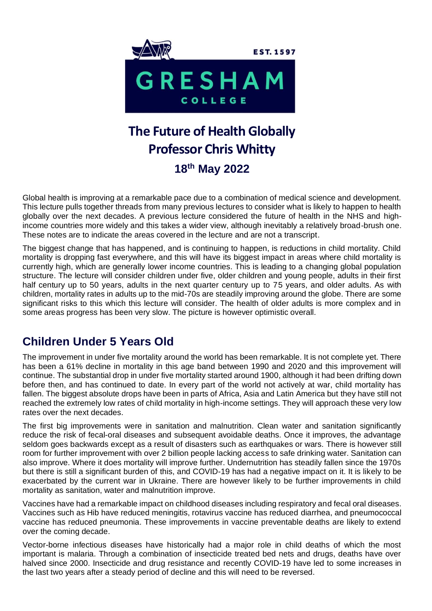

# **The Future of Health Globally Professor Chris Whitty 18th May 2022**

Global health is improving at a remarkable pace due to a combination of medical science and development. This lecture pulls together threads from many previous lectures to consider what is likely to happen to health globally over the next decades. A previous lecture considered the future of health in the NHS and highincome countries more widely and this takes a wider view, although inevitably a relatively broad-brush one. These notes are to indicate the areas covered in the lecture and are not a transcript.

The biggest change that has happened, and is continuing to happen, is reductions in child mortality. Child mortality is dropping fast everywhere, and this will have its biggest impact in areas where child mortality is currently high, which are generally lower income countries. This is leading to a changing global population structure. The lecture will consider children under five, older children and young people, adults in their first half century up to 50 years, adults in the next quarter century up to 75 years, and older adults. As with children, mortality rates in adults up to the mid-70s are steadily improving around the globe. There are some significant risks to this which this lecture will consider. The health of older adults is more complex and in some areas progress has been very slow. The picture is however optimistic overall.

# **Children Under 5 Years Old**

The improvement in under five mortality around the world has been remarkable. It is not complete yet. There has been a 61% decline in mortality in this age band between 1990 and 2020 and this improvement will continue. The substantial drop in under five mortality started around 1900, although it had been drifting down before then, and has continued to date. In every part of the world not actively at war, child mortality has fallen. The biggest absolute drops have been in parts of Africa, Asia and Latin America but they have still not reached the extremely low rates of child mortality in high-income settings. They will approach these very low rates over the next decades.

The first big improvements were in sanitation and malnutrition. Clean water and sanitation significantly reduce the risk of fecal-oral diseases and subsequent avoidable deaths. Once it improves, the advantage seldom goes backwards except as a result of disasters such as earthquakes or wars. There is however still room for further improvement with over 2 billion people lacking access to safe drinking water. Sanitation can also improve. Where it does mortality will improve further. Undernutrition has steadily fallen since the 1970s but there is still a significant burden of this, and COVID-19 has had a negative impact on it. It is likely to be exacerbated by the current war in Ukraine. There are however likely to be further improvements in child mortality as sanitation, water and malnutrition improve.

Vaccines have had a remarkable impact on childhood diseases including respiratory and fecal oral diseases. Vaccines such as Hib have reduced meningitis, rotavirus vaccine has reduced diarrhea, and pneumococcal vaccine has reduced pneumonia. These improvements in vaccine preventable deaths are likely to extend over the coming decade.

Vector-borne infectious diseases have historically had a major role in child deaths of which the most important is malaria. Through a combination of insecticide treated bed nets and drugs, deaths have over halved since 2000. Insecticide and drug resistance and recently COVID-19 have led to some increases in the last two years after a steady period of decline and this will need to be reversed.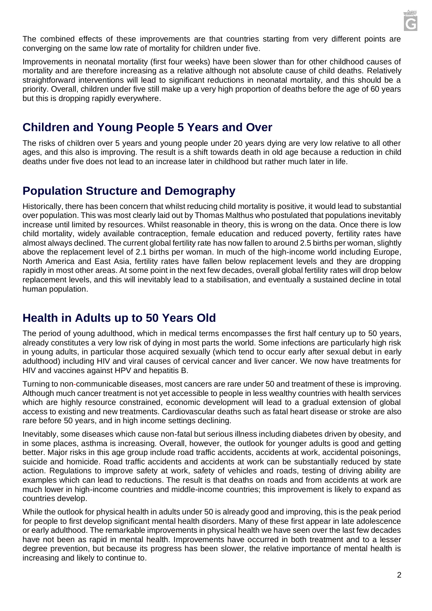

The combined effects of these improvements are that countries starting from very different points are converging on the same low rate of mortality for children under five.

Improvements in neonatal mortality (first four weeks) have been slower than for other childhood causes of mortality and are therefore increasing as a relative although not absolute cause of child deaths. Relatively straightforward interventions will lead to significant reductions in neonatal mortality, and this should be a priority. Overall, children under five still make up a very high proportion of deaths before the age of 60 years but this is dropping rapidly everywhere.

#### **Children and Young People 5 Years and Over**

The risks of children over 5 years and young people under 20 years dying are very low relative to all other ages, and this also is improving. The result is a shift towards death in old age because a reduction in child deaths under five does not lead to an increase later in childhood but rather much later in life.

## **Population Structure and Demography**

Historically, there has been concern that whilst reducing child mortality is positive, it would lead to substantial over population. This was most clearly laid out by Thomas Malthus who postulated that populations inevitably increase until limited by resources. Whilst reasonable in theory, this is wrong on the data. Once there is low child mortality, widely available contraception, female education and reduced poverty, fertility rates have almost always declined. The current global fertility rate has now fallen to around 2.5 births per woman, slightly above the replacement level of 2.1 births per woman. In much of the high-income world including Europe, North America and East Asia, fertility rates have fallen below replacement levels and they are dropping rapidly in most other areas. At some point in the next few decades, overall global fertility rates will drop below replacement levels, and this will inevitably lead to a stabilisation, and eventually a sustained decline in total human population.

## **Health in Adults up to 50 Years Old**

The period of young adulthood, which in medical terms encompasses the first half century up to 50 years, already constitutes a very low risk of dying in most parts the world. Some infections are particularly high risk in young adults, in particular those acquired sexually (which tend to occur early after sexual debut in early adulthood) including HIV and viral causes of cervical cancer and liver cancer. We now have treatments for HIV and vaccines against HPV and hepatitis B.

Turning to non-communicable diseases, most cancers are rare under 50 and treatment of these is improving. Although much cancer treatment is not yet accessible to people in less wealthy countries with health services which are highly resource constrained, economic development will lead to a gradual extension of global access to existing and new treatments. Cardiovascular deaths such as fatal heart disease or stroke are also rare before 50 years, and in high income settings declining.

Inevitably, some diseases which cause non-fatal but serious illness including diabetes driven by obesity, and in some places, asthma is increasing. Overall, however, the outlook for younger adults is good and getting better. Major risks in this age group include road traffic accidents, accidents at work, accidental poisonings, suicide and homicide. Road traffic accidents and accidents at work can be substantially reduced by state action. Regulations to improve safety at work, safety of vehicles and roads, testing of driving ability are examples which can lead to reductions. The result is that deaths on roads and from accidents at work are much lower in high-income countries and middle-income countries; this improvement is likely to expand as countries develop.

While the outlook for physical health in adults under 50 is already good and improving, this is the peak period for people to first develop significant mental health disorders. Many of these first appear in late adolescence or early adulthood. The remarkable improvements in physical health we have seen over the last few decades have not been as rapid in mental health. Improvements have occurred in both treatment and to a lesser degree prevention, but because its progress has been slower, the relative importance of mental health is increasing and likely to continue to.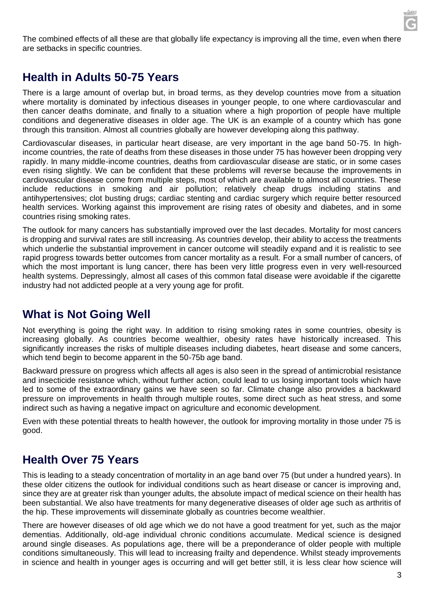The combined effects of all these are that globally life expectancy is improving all the time, even when there are setbacks in specific countries.

#### **Health in Adults 50-75 Years**

There is a large amount of overlap but, in broad terms, as they develop countries move from a situation where mortality is dominated by infectious diseases in younger people, to one where cardiovascular and then cancer deaths dominate, and finally to a situation where a high proportion of people have multiple conditions and degenerative diseases in older age. The UK is an example of a country which has gone through this transition. Almost all countries globally are however developing along this pathway.

Cardiovascular diseases, in particular heart disease, are very important in the age band 50-75. In highincome countries, the rate of deaths from these diseases in those under 75 has however been dropping very rapidly. In many middle-income countries, deaths from cardiovascular disease are static, or in some cases even rising slightly. We can be confident that these problems will reverse because the improvements in cardiovascular disease come from multiple steps, most of which are available to almost all countries. These include reductions in smoking and air pollution; relatively cheap drugs including statins and antihypertensives; clot busting drugs; cardiac stenting and cardiac surgery which require better resourced health services. Working against this improvement are rising rates of obesity and diabetes, and in some countries rising smoking rates.

The outlook for many cancers has substantially improved over the last decades. Mortality for most cancers is dropping and survival rates are still increasing. As countries develop, their ability to access the treatments which underlie the substantial improvement in cancer outcome will steadily expand and it is realistic to see rapid progress towards better outcomes from cancer mortality as a result. For a small number of cancers, of which the most important is lung cancer, there has been very little progress even in very well-resourced health systems. Depressingly, almost all cases of this common fatal disease were avoidable if the cigarette industry had not addicted people at a very young age for profit.

## **What is Not Going Well**

Not everything is going the right way. In addition to rising smoking rates in some countries, obesity is increasing globally. As countries become wealthier, obesity rates have historically increased. This significantly increases the risks of multiple diseases including diabetes, heart disease and some cancers, which tend begin to become apparent in the 50-75b age band.

Backward pressure on progress which affects all ages is also seen in the spread of antimicrobial resistance and insecticide resistance which, without further action, could lead to us losing important tools which have led to some of the extraordinary gains we have seen so far. Climate change also provides a backward pressure on improvements in health through multiple routes, some direct such as heat stress, and some indirect such as having a negative impact on agriculture and economic development.

Even with these potential threats to health however, the outlook for improving mortality in those under 75 is good.

## **Health Over 75 Years**

This is leading to a steady concentration of mortality in an age band over 75 (but under a hundred years). In these older citizens the outlook for individual conditions such as heart disease or cancer is improving and, since they are at greater risk than younger adults, the absolute impact of medical science on their health has been substantial. We also have treatments for many degenerative diseases of older age such as arthritis of the hip. These improvements will disseminate globally as countries become wealthier.

There are however diseases of old age which we do not have a good treatment for yet, such as the major dementias. Additionally, old-age individual chronic conditions accumulate. Medical science is designed around single diseases. As populations age, there will be a preponderance of older people with multiple conditions simultaneously. This will lead to increasing frailty and dependence. Whilst steady improvements in science and health in younger ages is occurring and will get better still, it is less clear how science will